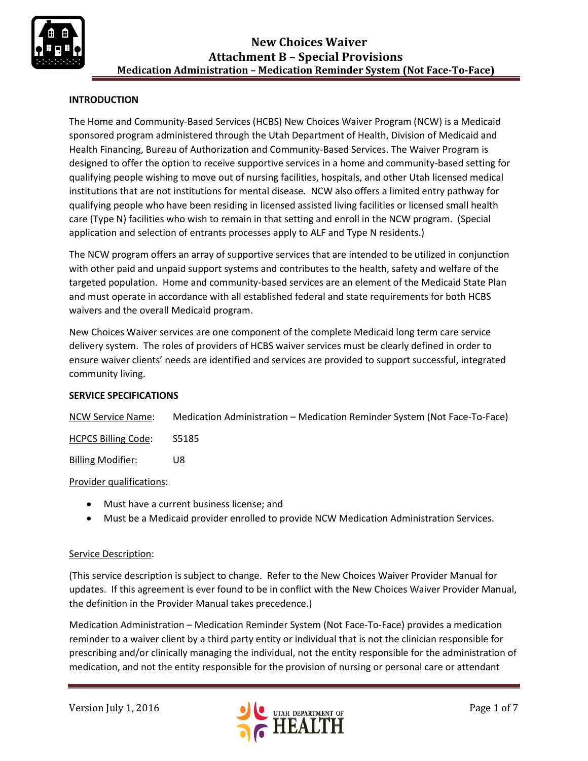

# **INTRODUCTION**

The Home and Community-Based Services (HCBS) New Choices Waiver Program (NCW) is a Medicaid sponsored program administered through the Utah Department of Health, Division of Medicaid and Health Financing, Bureau of Authorization and Community-Based Services. The Waiver Program is designed to offer the option to receive supportive services in a home and community-based setting for qualifying people wishing to move out of nursing facilities, hospitals, and other Utah licensed medical institutions that are not institutions for mental disease. NCW also offers a limited entry pathway for qualifying people who have been residing in licensed assisted living facilities or licensed small health care (Type N) facilities who wish to remain in that setting and enroll in the NCW program. (Special application and selection of entrants processes apply to ALF and Type N residents.)

The NCW program offers an array of supportive services that are intended to be utilized in conjunction with other paid and unpaid support systems and contributes to the health, safety and welfare of the targeted population. Home and community-based services are an element of the Medicaid State Plan and must operate in accordance with all established federal and state requirements for both HCBS waivers and the overall Medicaid program.

New Choices Waiver services are one component of the complete Medicaid long term care service delivery system. The roles of providers of HCBS waiver services must be clearly defined in order to ensure waiver clients' needs are identified and services are provided to support successful, integrated community living.

#### **SERVICE SPECIFICATIONS**

NCW Service Name: Medication Administration – Medication Reminder System (Not Face-To-Face)

HCPCS Billing Code: S5185

Billing Modifier: U8

Provider qualifications:

- Must have a current business license; and
- Must be a Medicaid provider enrolled to provide NCW Medication Administration Services.

# Service Description:

(This service description is subject to change. Refer to the New Choices Waiver Provider Manual for updates. If this agreement is ever found to be in conflict with the New Choices Waiver Provider Manual, the definition in the Provider Manual takes precedence.)

Medication Administration – Medication Reminder System (Not Face-To-Face) provides a medication reminder to a waiver client by a third party entity or individual that is not the clinician responsible for prescribing and/or clinically managing the individual, not the entity responsible for the administration of medication, and not the entity responsible for the provision of nursing or personal care or attendant

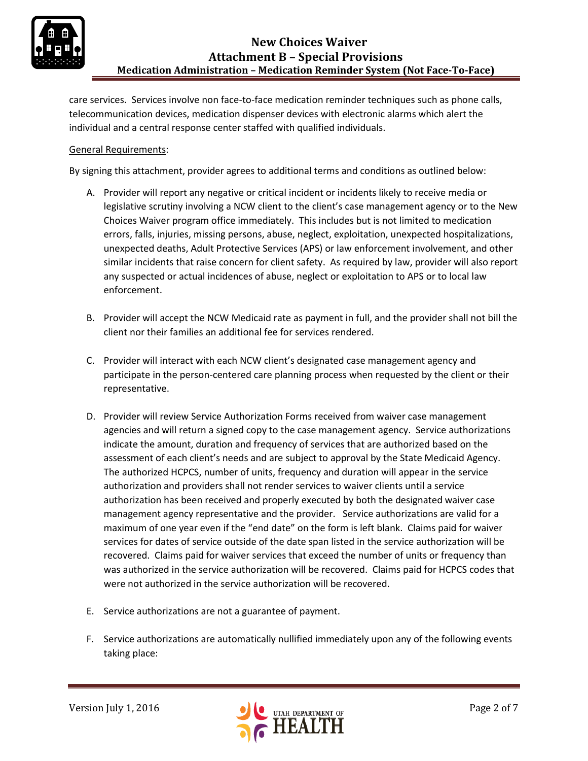

care services. Services involve non face-to-face medication reminder techniques such as phone calls, telecommunication devices, medication dispenser devices with electronic alarms which alert the individual and a central response center staffed with qualified individuals.

## General Requirements:

By signing this attachment, provider agrees to additional terms and conditions as outlined below:

- A. Provider will report any negative or critical incident or incidents likely to receive media or legislative scrutiny involving a NCW client to the client's case management agency or to the New Choices Waiver program office immediately. This includes but is not limited to medication errors, falls, injuries, missing persons, abuse, neglect, exploitation, unexpected hospitalizations, unexpected deaths, Adult Protective Services (APS) or law enforcement involvement, and other similar incidents that raise concern for client safety. As required by law, provider will also report any suspected or actual incidences of abuse, neglect or exploitation to APS or to local law enforcement.
- B. Provider will accept the NCW Medicaid rate as payment in full, and the provider shall not bill the client nor their families an additional fee for services rendered.
- C. Provider will interact with each NCW client's designated case management agency and participate in the person-centered care planning process when requested by the client or their representative.
- D. Provider will review Service Authorization Forms received from waiver case management agencies and will return a signed copy to the case management agency. Service authorizations indicate the amount, duration and frequency of services that are authorized based on the assessment of each client's needs and are subject to approval by the State Medicaid Agency. The authorized HCPCS, number of units, frequency and duration will appear in the service authorization and providers shall not render services to waiver clients until a service authorization has been received and properly executed by both the designated waiver case management agency representative and the provider. Service authorizations are valid for a maximum of one year even if the "end date" on the form is left blank. Claims paid for waiver services for dates of service outside of the date span listed in the service authorization will be recovered. Claims paid for waiver services that exceed the number of units or frequency than was authorized in the service authorization will be recovered. Claims paid for HCPCS codes that were not authorized in the service authorization will be recovered.
- E. Service authorizations are not a guarantee of payment.
- F. Service authorizations are automatically nullified immediately upon any of the following events taking place:

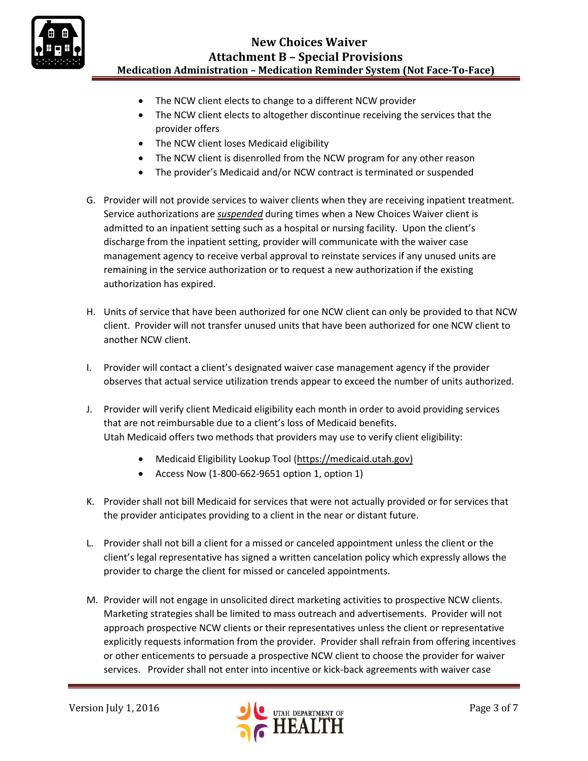

# **New Choices Waiver Attachment B – Special Provisions Medication Administration – Medication Reminder System (Not Face-To-Face)**

- The NCW client elects to change to a different NCW provider
- The NCW client elects to altogether discontinue receiving the services that the provider offers
- The NCW client loses Medicaid eligibility
- The NCW client is disenrolled from the NCW program for any other reason
- The provider's Medicaid and/or NCW contract is terminated or suspended
- G. Provider will not provide services to waiver clients when they are receiving inpatient treatment. Service authorizations are *suspended* during times when a New Choices Waiver client is admitted to an inpatient setting such as a hospital or nursing facility. Upon the client's discharge from the inpatient setting, provider will communicate with the waiver case management agency to receive verbal approval to reinstate services if any unused units are remaining in the service authorization or to request a new authorization if the existing authorization has expired.
- H. Units of service that have been authorized for one NCW client can only be provided to that NCW client. Provider will not transfer unused units that have been authorized for one NCW client to another NCW client.
- I. Provider will contact a client's designated waiver case management agency if the provider observes that actual service utilization trends appear to exceed the number of units authorized.
- J. Provider will verify client Medicaid eligibility each month in order to avoid providing services that are not reimbursable due to a client's loss of Medicaid benefits. Utah Medicaid offers two methods that providers may use to verify client eligibility:
	- Medicaid Eligibility Lookup Tool [\(https://medicaid.utah.gov\)](https://medicaid.utah.gov/)
	- Access Now  $(1-800-662-9651$  option 1, option 1)
- K. Provider shall not bill Medicaid for services that were not actually provided or for services that the provider anticipates providing to a client in the near or distant future.
- L. Provider shall not bill a client for a missed or canceled appointment unless the client or the client's legal representative has signed a written cancelation policy which expressly allows the provider to charge the client for missed or canceled appointments.
- M. Provider will not engage in unsolicited direct marketing activities to prospective NCW clients. Marketing strategies shall be limited to mass outreach and advertisements. Provider will not approach prospective NCW clients or their representatives unless the client or representative explicitly requests information from the provider. Provider shall refrain from offering incentives or other enticements to persuade a prospective NCW client to choose the provider for waiver services. Provider shall not enter into incentive or kick-back agreements with waiver case

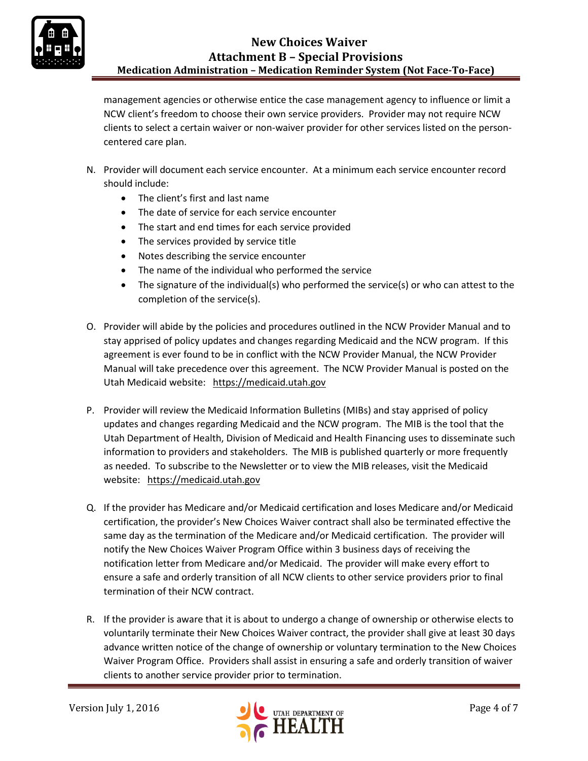

management agencies or otherwise entice the case management agency to influence or limit a NCW client's freedom to choose their own service providers. Provider may not require NCW clients to select a certain waiver or non-waiver provider for other services listed on the personcentered care plan.

- N. Provider will document each service encounter. At a minimum each service encounter record should include:
	- The client's first and last name
	- The date of service for each service encounter
	- The start and end times for each service provided
	- The services provided by service title
	- Notes describing the service encounter
	- The name of the individual who performed the service
	- The signature of the individual(s) who performed the service(s) or who can attest to the completion of the service(s).
- O. Provider will abide by the policies and procedures outlined in the NCW Provider Manual and to stay apprised of policy updates and changes regarding Medicaid and the NCW program. If this agreement is ever found to be in conflict with the NCW Provider Manual, the NCW Provider Manual will take precedence over this agreement. The NCW Provider Manual is posted on the Utah Medicaid website: [https://medicaid.utah.gov](https://medicaid.utah.gov/)
- P. Provider will review the Medicaid Information Bulletins (MIBs) and stay apprised of policy updates and changes regarding Medicaid and the NCW program. The MIB is the tool that the Utah Department of Health, Division of Medicaid and Health Financing uses to disseminate such information to providers and stakeholders. The MIB is published quarterly or more frequently as needed. To subscribe to the Newsletter or to view the MIB releases, visit the Medicaid website: [https://medicaid.utah.gov](https://medicaid.utah.gov/)
- Q. If the provider has Medicare and/or Medicaid certification and loses Medicare and/or Medicaid certification, the provider's New Choices Waiver contract shall also be terminated effective the same day as the termination of the Medicare and/or Medicaid certification. The provider will notify the New Choices Waiver Program Office within 3 business days of receiving the notification letter from Medicare and/or Medicaid. The provider will make every effort to ensure a safe and orderly transition of all NCW clients to other service providers prior to final termination of their NCW contract.
- R. If the provider is aware that it is about to undergo a change of ownership or otherwise elects to voluntarily terminate their New Choices Waiver contract, the provider shall give at least 30 days advance written notice of the change of ownership or voluntary termination to the New Choices Waiver Program Office. Providers shall assist in ensuring a safe and orderly transition of waiver clients to another service provider prior to termination.

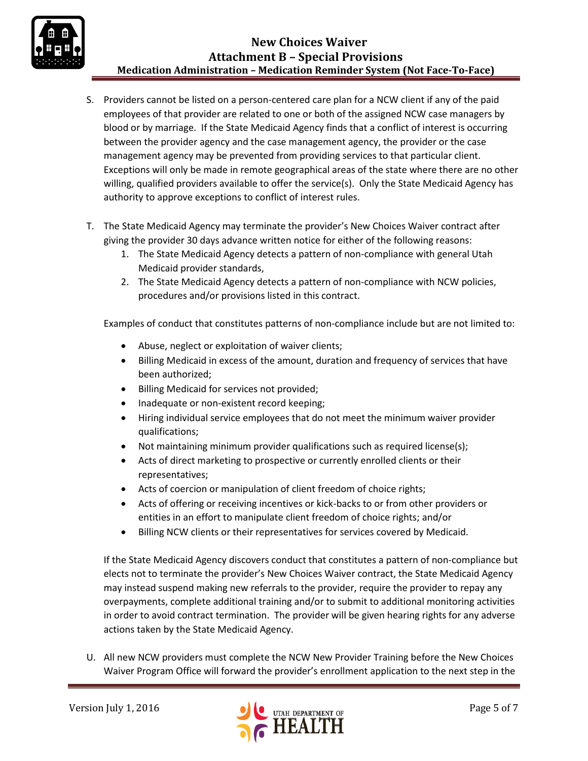

- S. Providers cannot be listed on a person-centered care plan for a NCW client if any of the paid employees of that provider are related to one or both of the assigned NCW case managers by blood or by marriage. If the State Medicaid Agency finds that a conflict of interest is occurring between the provider agency and the case management agency, the provider or the case management agency may be prevented from providing services to that particular client. Exceptions will only be made in remote geographical areas of the state where there are no other willing, qualified providers available to offer the service(s). Only the State Medicaid Agency has authority to approve exceptions to conflict of interest rules.
- T. The State Medicaid Agency may terminate the provider's New Choices Waiver contract after giving the provider 30 days advance written notice for either of the following reasons:
	- 1. The State Medicaid Agency detects a pattern of non-compliance with general Utah Medicaid provider standards,
	- 2. The State Medicaid Agency detects a pattern of non-compliance with NCW policies, procedures and/or provisions listed in this contract.

Examples of conduct that constitutes patterns of non-compliance include but are not limited to:

- Abuse, neglect or exploitation of waiver clients;
- Billing Medicaid in excess of the amount, duration and frequency of services that have been authorized;
- Billing Medicaid for services not provided;
- Inadequate or non-existent record keeping;
- Hiring individual service employees that do not meet the minimum waiver provider qualifications;
- Not maintaining minimum provider qualifications such as required license(s);
- Acts of direct marketing to prospective or currently enrolled clients or their representatives;
- Acts of coercion or manipulation of client freedom of choice rights;
- Acts of offering or receiving incentives or kick-backs to or from other providers or entities in an effort to manipulate client freedom of choice rights; and/or
- Billing NCW clients or their representatives for services covered by Medicaid.

If the State Medicaid Agency discovers conduct that constitutes a pattern of non-compliance but elects not to terminate the provider's New Choices Waiver contract, the State Medicaid Agency may instead suspend making new referrals to the provider, require the provider to repay any overpayments, complete additional training and/or to submit to additional monitoring activities in order to avoid contract termination. The provider will be given hearing rights for any adverse actions taken by the State Medicaid Agency.

U. All new NCW providers must complete the NCW New Provider Training before the New Choices Waiver Program Office will forward the provider's enrollment application to the next step in the

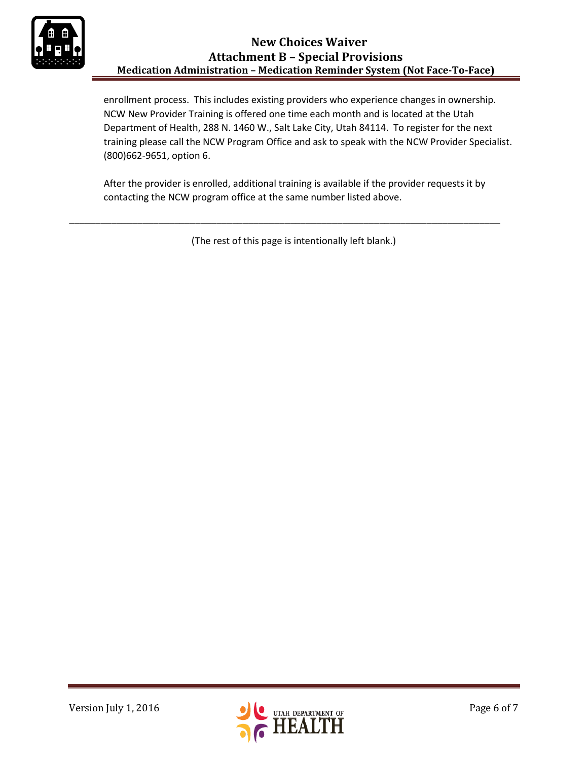

enrollment process. This includes existing providers who experience changes in ownership. NCW New Provider Training is offered one time each month and is located at the Utah Department of Health, 288 N. 1460 W., Salt Lake City, Utah 84114. To register for the next training please call the NCW Program Office and ask to speak with the NCW Provider Specialist. (800)662-9651, option 6.

After the provider is enrolled, additional training is available if the provider requests it by contacting the NCW program office at the same number listed above.

(The rest of this page is intentionally left blank.)

\_\_\_\_\_\_\_\_\_\_\_\_\_\_\_\_\_\_\_\_\_\_\_\_\_\_\_\_\_\_\_\_\_\_\_\_\_\_\_\_\_\_\_\_\_\_\_\_\_\_\_\_\_\_\_\_\_\_\_\_\_\_\_\_\_\_\_\_\_\_\_\_\_\_\_\_\_\_\_\_\_\_